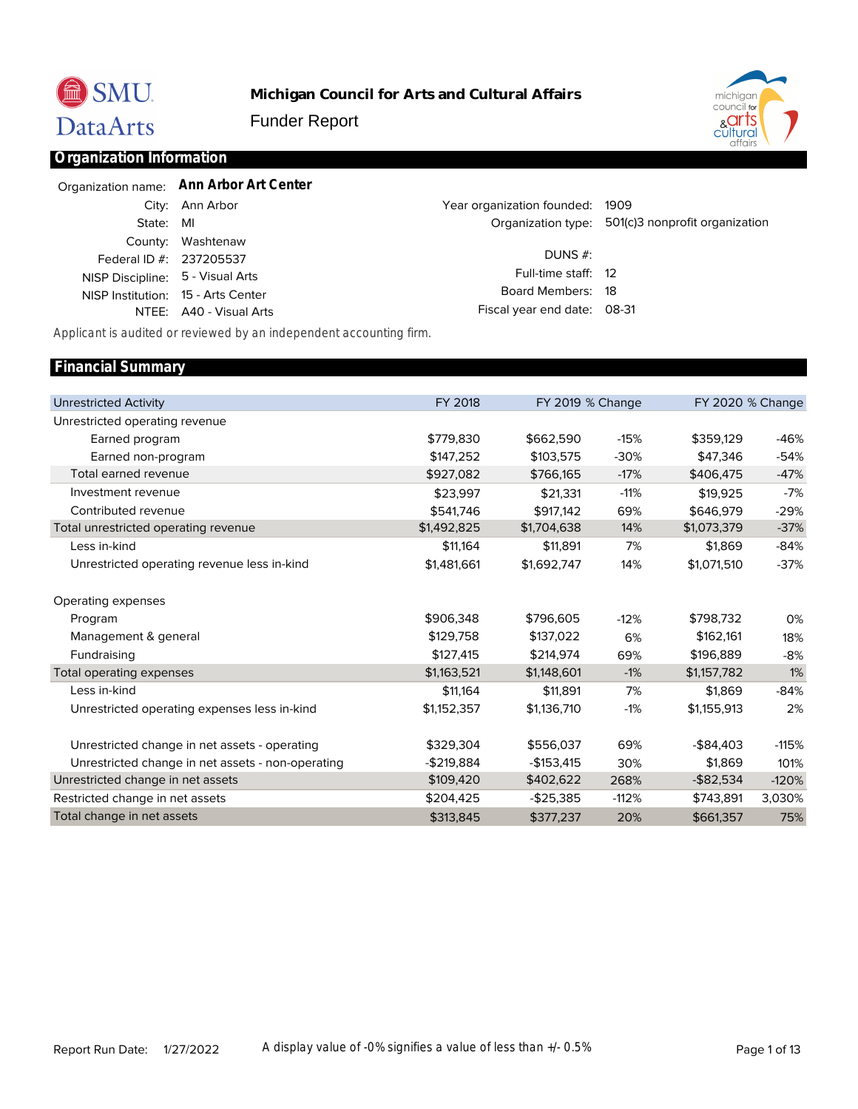

**Michigan Council for Arts and Cultural Affairs**

Funder Report



### **Organization Information**

|                                  | Organization name: Ann Arbor Art Center |                                 |                                                   |
|----------------------------------|-----------------------------------------|---------------------------------|---------------------------------------------------|
|                                  | City: Ann Arbor                         | Year organization founded: 1909 |                                                   |
| State: MI                        |                                         |                                 | Organization type: 501(c)3 nonprofit organization |
|                                  | County: Washtenaw                       |                                 |                                                   |
| Federal ID #: 237205537          |                                         | DUNS $#$ :                      |                                                   |
| NISP Discipline: 5 - Visual Arts |                                         | Full-time staff: 12             |                                                   |
|                                  | NISP Institution: 15 - Arts Center      | Board Members: 18               |                                                   |
|                                  | NTEE: A40 - Visual Arts                 | Fiscal year end date: 08-31     |                                                   |

*Applicant is audited or reviewed by an independent accounting firm.*

#### Unrestricted Activity Unrestricted operating revenue Earned program Earned non-program Total earned revenue Investment revenue Contributed revenue Total unrestricted operating revenue Less in-kind Unrestricted operating revenue less in-kind Operating expenses Program Management & general Fundraising Total operating expenses Less in-kind Unrestricted operating expenses less in-kind Unrestricted change in net assets - operating Unrestricted change in net assets - non-operating Unrestricted change in net assets Restricted change in net assets Total change in net assets FY 2018 \$779,830 \$147,252 \$927,082 \$23,997 \$541,746 \$1,492,825 \$11,164 \$1,481,661 \$906,348 \$129,758 \$127,415 \$1,163,521 \$11,164 \$1,152,357 \$329,304 -\$219,884 \$109,420 \$204,425 \$313,845 FY 2019 % Change \$662,590 \$103,575 \$766,165 \$21,331 \$917,142 \$1,704,638 \$11,891 \$1,692,747 \$796,605 \$137,022 \$214,974 \$1,148,601 \$11,891 \$1,136,710 \$556,037 -\$153,415 \$402,622 -\$25,385 \$377,237 -15% -30% -17% -11% 69% 14% 7% 14% -12% 6% 69% -1% 7% -1% 69% 30% 268% -112% 20% FY 2020 % Change \$359,129 \$47,346 \$406,475 \$19,925 \$646,979 \$1,073,379 \$1,869 \$1,071,510 \$798,732 \$162,161 \$196,889 \$1,157,782 \$1,869 \$1,155,913 -\$84,403 \$1,869 -\$82,534 \$743,891 \$661,357 -46% -54% -47% -7% -29% -37% -84% -37% 0% 18% -8% 1% -84% 2% -115% 101% -120% 3,030% 75% **Financial Summary**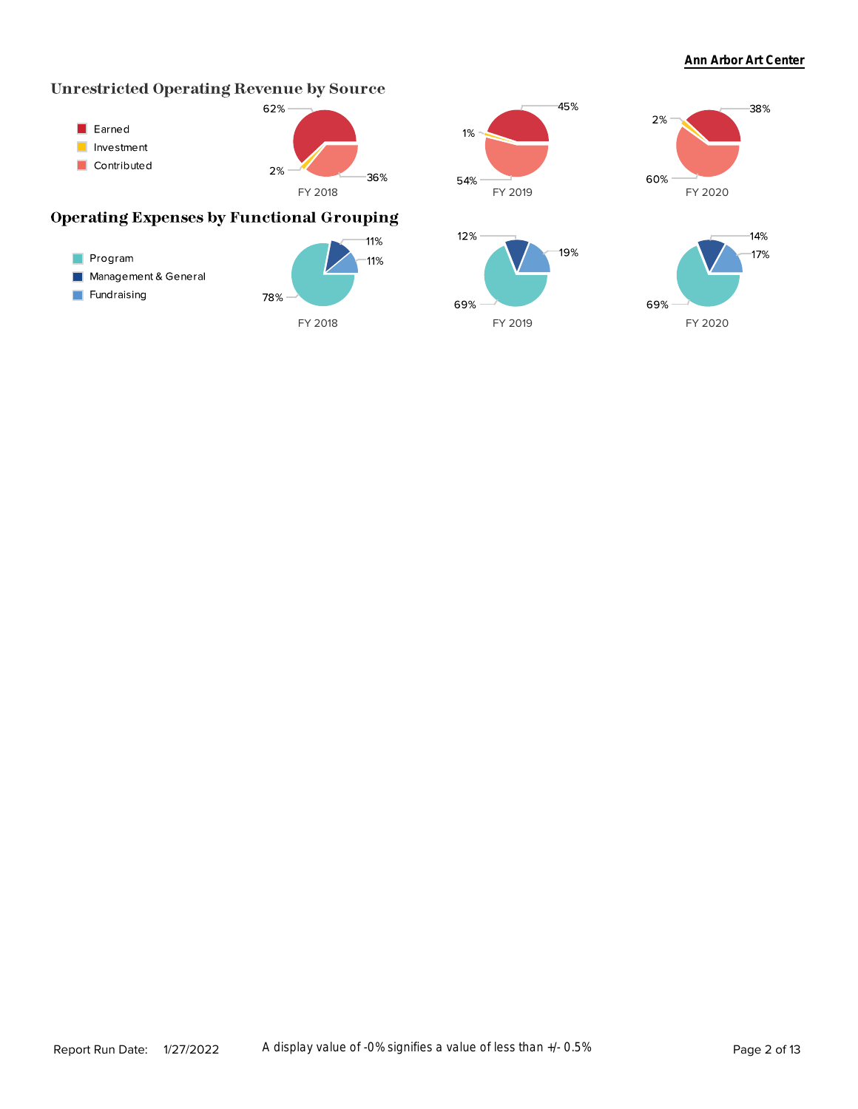# **Unrestricted Operating Revenue by Source**



## **Operating Expenses by Functional Grouping**



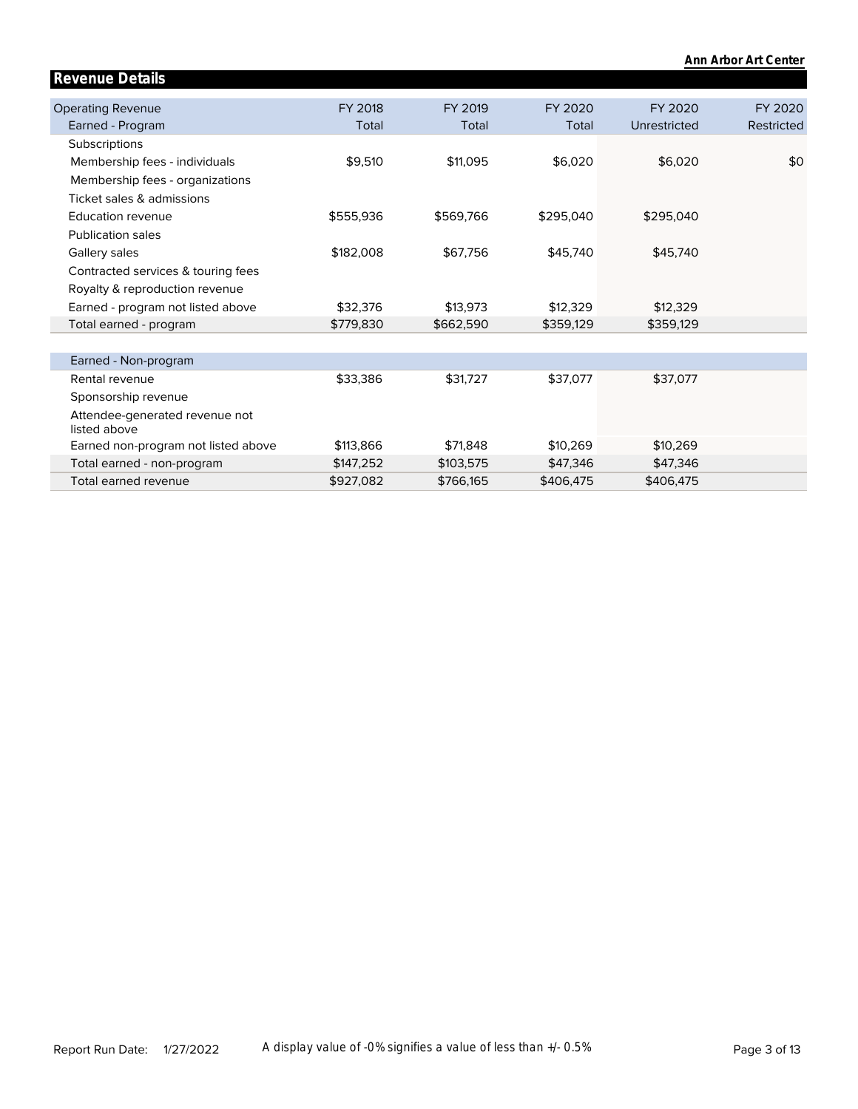|                                                |           |           |           |              | Ann Arbor Art Center |
|------------------------------------------------|-----------|-----------|-----------|--------------|----------------------|
| <b>Revenue Details</b>                         |           |           |           |              |                      |
|                                                |           |           |           |              |                      |
| <b>Operating Revenue</b>                       | FY 2018   | FY 2019   | FY 2020   | FY 2020      | FY 2020              |
| Earned - Program                               | Total     | Total     | Total     | Unrestricted | Restricted           |
| Subscriptions                                  |           |           |           |              |                      |
| Membership fees - individuals                  | \$9,510   | \$11,095  | \$6,020   | \$6,020      | \$0                  |
| Membership fees - organizations                |           |           |           |              |                      |
| Ticket sales & admissions                      |           |           |           |              |                      |
| Education revenue                              | \$555,936 | \$569,766 | \$295,040 | \$295,040    |                      |
| <b>Publication sales</b>                       |           |           |           |              |                      |
| Gallery sales                                  | \$182,008 | \$67,756  | \$45,740  | \$45,740     |                      |
| Contracted services & touring fees             |           |           |           |              |                      |
| Royalty & reproduction revenue                 |           |           |           |              |                      |
| Earned - program not listed above              | \$32,376  | \$13,973  | \$12,329  | \$12,329     |                      |
| Total earned - program                         | \$779,830 | \$662,590 | \$359,129 | \$359,129    |                      |
|                                                |           |           |           |              |                      |
| Earned - Non-program                           |           |           |           |              |                      |
| Rental revenue                                 | \$33,386  | \$31,727  | \$37,077  | \$37,077     |                      |
| Sponsorship revenue                            |           |           |           |              |                      |
| Attendee-generated revenue not<br>listed above |           |           |           |              |                      |
| Earned non-program not listed above            | \$113,866 | \$71,848  | \$10,269  | \$10,269     |                      |
| Total earned - non-program                     | \$147,252 | \$103,575 | \$47,346  | \$47,346     |                      |
| Total earned revenue                           | \$927,082 | \$766,165 | \$406,475 | \$406,475    |                      |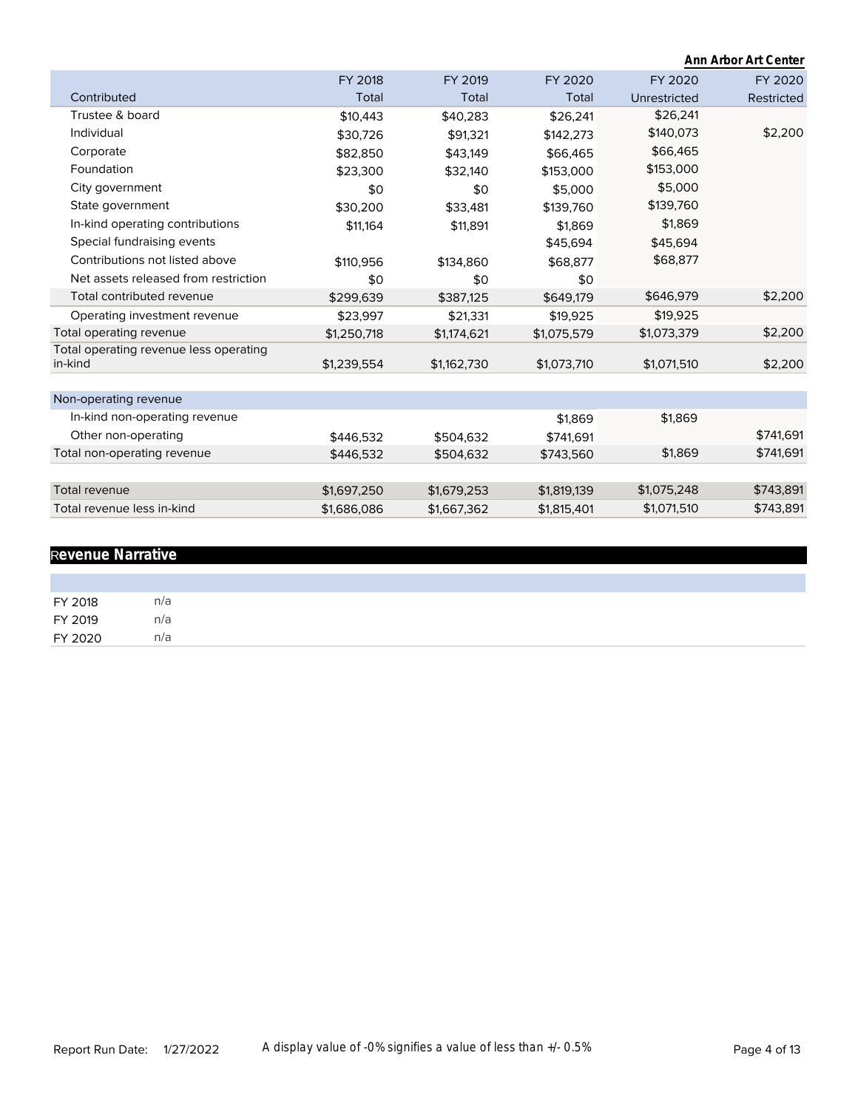|                                                   |             |             |             |              | Ann Arbor Art Center |
|---------------------------------------------------|-------------|-------------|-------------|--------------|----------------------|
|                                                   | FY 2018     | FY 2019     | FY 2020     | FY 2020      | FY 2020              |
| Contributed                                       | Total       | Total       | Total       | Unrestricted | Restricted           |
| Trustee & board                                   | \$10,443    | \$40,283    | \$26.241    | \$26,241     |                      |
| Individual                                        | \$30,726    | \$91,321    | \$142,273   | \$140,073    | \$2,200              |
| Corporate                                         | \$82,850    | \$43,149    | \$66,465    | \$66,465     |                      |
| Foundation                                        | \$23,300    | \$32,140    | \$153,000   | \$153,000    |                      |
| City government                                   | \$0         | \$0         | \$5,000     | \$5,000      |                      |
| State government                                  | \$30,200    | \$33,481    | \$139,760   | \$139,760    |                      |
| In-kind operating contributions                   | \$11,164    | \$11,891    | \$1,869     | \$1,869      |                      |
| Special fundraising events                        |             |             | \$45,694    | \$45,694     |                      |
| Contributions not listed above                    | \$110,956   | \$134,860   | \$68,877    | \$68,877     |                      |
| Net assets released from restriction              | \$0         | \$0         | \$0         |              |                      |
| Total contributed revenue                         | \$299,639   | \$387,125   | \$649,179   | \$646,979    | \$2,200              |
| Operating investment revenue                      | \$23,997    | \$21,331    | \$19,925    | \$19,925     |                      |
| Total operating revenue                           | \$1,250,718 | \$1,174,621 | \$1,075,579 | \$1,073,379  | \$2,200              |
| Total operating revenue less operating<br>in-kind | \$1,239,554 | \$1,162,730 | \$1,073,710 | \$1,071,510  | \$2,200              |
| Non-operating revenue                             |             |             |             |              |                      |
| In-kind non-operating revenue                     |             |             | \$1,869     | \$1,869      |                      |
| Other non-operating                               | \$446,532   | \$504,632   | \$741,691   |              | \$741,691            |
| Total non-operating revenue                       | \$446.532   | \$504,632   | \$743,560   | \$1,869      | \$741,691            |
|                                                   |             |             |             |              |                      |
| Total revenue                                     | \$1,697,250 | \$1,679,253 | \$1,819,139 | \$1,075,248  | \$743,891            |
| Total revenue less in-kind                        | \$1,686,086 | \$1,667,362 | \$1,815,401 | \$1,071,510  | \$743,891            |

# R**evenue Narrative**

| FY 2018 | n/a |
|---------|-----|
| FY 2019 | n/a |
| FY 2020 | n/a |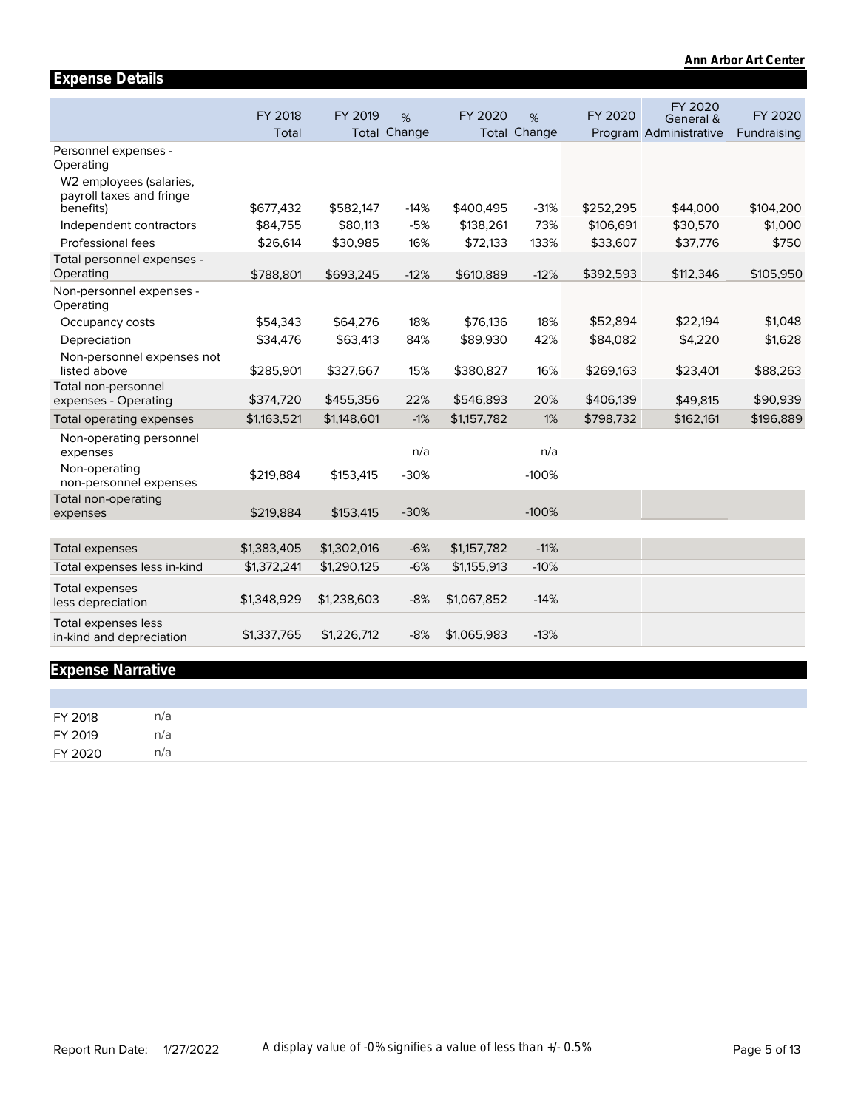|                                                                  |                  |             |                             |             |                          |           |                                                | Ann Arbor Art Center   |
|------------------------------------------------------------------|------------------|-------------|-----------------------------|-------------|--------------------------|-----------|------------------------------------------------|------------------------|
| <b>Expense Details</b>                                           |                  |             |                             |             |                          |           |                                                |                        |
|                                                                  | FY 2018<br>Total | FY 2019     | $\%$<br><b>Total Change</b> | FY 2020     | %<br><b>Total Change</b> | FY 2020   | FY 2020<br>General &<br>Program Administrative | FY 2020<br>Fundraising |
| Personnel expenses -<br>Operating                                |                  |             |                             |             |                          |           |                                                |                        |
| W2 employees (salaries,<br>payroll taxes and fringe<br>benefits) | \$677,432        | \$582,147   | $-14%$                      | \$400,495   | $-31%$                   | \$252,295 | \$44,000                                       | \$104,200              |
| Independent contractors                                          | \$84,755         | \$80,113    | $-5%$                       | \$138,261   | 73%                      | \$106,691 | \$30,570                                       | \$1,000                |
| Professional fees                                                | \$26,614         | \$30,985    | 16%                         | \$72,133    | 133%                     | \$33,607  | \$37,776                                       | \$750                  |
| Total personnel expenses -<br>Operating                          | \$788,801        | \$693,245   | $-12%$                      | \$610,889   | $-12%$                   | \$392,593 | \$112,346                                      | \$105,950              |
| Non-personnel expenses -<br>Operating                            |                  |             |                             |             |                          |           |                                                |                        |
| Occupancy costs                                                  | \$54,343         | \$64,276    | 18%                         | \$76,136    | 18%                      | \$52,894  | \$22,194                                       | \$1,048                |
| Depreciation                                                     | \$34,476         | \$63,413    | 84%                         | \$89,930    | 42%                      | \$84,082  | \$4,220                                        | \$1,628                |
| Non-personnel expenses not<br>listed above                       | \$285,901        | \$327,667   | 15%                         | \$380,827   | 16%                      | \$269,163 | \$23,401                                       | \$88,263               |
| Total non-personnel<br>expenses - Operating                      | \$374,720        | \$455,356   | 22%                         | \$546,893   | 20%                      | \$406,139 | \$49,815                                       | \$90,939               |
| Total operating expenses                                         | \$1,163,521      | \$1,148,601 | $-1%$                       | \$1,157,782 | 1%                       | \$798,732 | \$162,161                                      | \$196,889              |
| Non-operating personnel<br>expenses                              |                  |             | n/a                         |             | n/a                      |           |                                                |                        |
| Non-operating<br>non-personnel expenses                          | \$219,884        | \$153,415   | $-30%$                      |             | $-100%$                  |           |                                                |                        |
| Total non-operating<br>expenses                                  | \$219,884        | \$153,415   | $-30%$                      |             | $-100%$                  |           |                                                |                        |
|                                                                  |                  |             |                             |             |                          |           |                                                |                        |
| <b>Total expenses</b>                                            | \$1,383,405      | \$1,302,016 | $-6%$                       | \$1,157,782 | $-11%$                   |           |                                                |                        |
| Total expenses less in-kind                                      | \$1,372,241      | \$1,290,125 | $-6%$                       | \$1,155,913 | $-10%$                   |           |                                                |                        |
| <b>Total expenses</b><br>less depreciation                       | \$1,348,929      | \$1,238,603 | $-8%$                       | \$1,067,852 | $-14%$                   |           |                                                |                        |
| <b>Total expenses less</b><br>in-kind and depreciation           | \$1,337,765      | \$1,226,712 | $-8%$                       | \$1,065,983 | $-13%$                   |           |                                                |                        |

# **Expense Narrative**

| FY 2018 | n/a |  |  |  |
|---------|-----|--|--|--|
| FY 2019 | n/a |  |  |  |
| FY 2020 | n/a |  |  |  |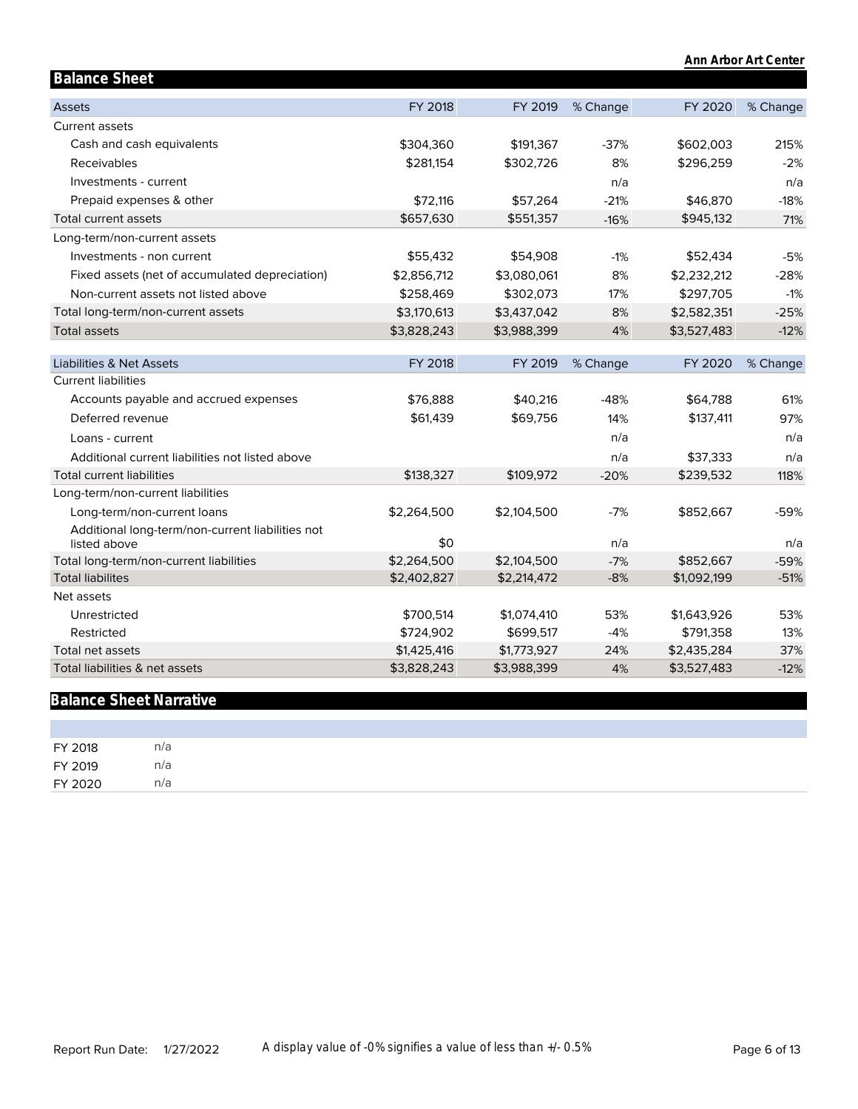|                                                                  |             |             |          |             | Ann Arbor Art Center |
|------------------------------------------------------------------|-------------|-------------|----------|-------------|----------------------|
| <b>Balance Sheet</b>                                             |             |             |          |             |                      |
| <b>Assets</b>                                                    | FY 2018     | FY 2019     | % Change | FY 2020     | % Change             |
| <b>Current assets</b>                                            |             |             |          |             |                      |
| Cash and cash equivalents                                        | \$304,360   | \$191,367   | $-37%$   | \$602,003   | 215%                 |
| Receivables                                                      | \$281,154   | \$302,726   | 8%       | \$296,259   | $-2%$                |
| Investments - current                                            |             |             | n/a      |             | n/a                  |
| Prepaid expenses & other                                         | \$72,116    | \$57,264    | $-21%$   | \$46,870    | $-18%$               |
| Total current assets                                             | \$657,630   | \$551,357   | $-16%$   | \$945,132   | 71%                  |
| Long-term/non-current assets                                     |             |             |          |             |                      |
| Investments - non current                                        | \$55,432    | \$54,908    | $-1%$    | \$52,434    | $-5%$                |
| Fixed assets (net of accumulated depreciation)                   | \$2,856,712 | \$3,080,061 | 8%       | \$2,232,212 | $-28%$               |
| Non-current assets not listed above                              | \$258,469   | \$302,073   | 17%      | \$297,705   | $-1%$                |
| Total long-term/non-current assets                               | \$3,170,613 | \$3,437,042 | 8%       | \$2,582,351 | $-25%$               |
| <b>Total assets</b>                                              | \$3,828,243 | \$3,988,399 | 4%       | \$3,527,483 | $-12%$               |
|                                                                  |             |             |          |             |                      |
| Liabilities & Net Assets                                         | FY 2018     | FY 2019     | % Change | FY 2020     | % Change             |
| <b>Current liabilities</b>                                       |             |             |          |             |                      |
| Accounts payable and accrued expenses                            | \$76,888    | \$40,216    | $-48%$   | \$64,788    | 61%                  |
| Deferred revenue                                                 | \$61,439    | \$69,756    | 14%      | \$137,411   | 97%                  |
| Loans - current                                                  |             |             | n/a      |             | n/a                  |
| Additional current liabilities not listed above                  |             |             | n/a      | \$37,333    | n/a                  |
| <b>Total current liabilities</b>                                 | \$138,327   | \$109,972   | $-20%$   | \$239,532   | 118%                 |
| Long-term/non-current liabilities                                |             |             |          |             |                      |
| Long-term/non-current loans                                      | \$2,264,500 | \$2,104,500 | $-7%$    | \$852,667   | $-59%$               |
| Additional long-term/non-current liabilities not<br>listed above | \$0         |             | n/a      |             | n/a                  |
| Total long-term/non-current liabilities                          | \$2,264,500 | \$2,104,500 | $-7%$    | \$852,667   | $-59%$               |
| <b>Total liabilites</b>                                          | \$2,402,827 | \$2,214,472 | $-8%$    | \$1,092,199 | $-51%$               |
| Net assets                                                       |             |             |          |             |                      |
| Unrestricted                                                     | \$700,514   | \$1,074,410 | 53%      | \$1,643,926 | 53%                  |
| Restricted                                                       | \$724,902   | \$699,517   | $-4%$    | \$791,358   | 13%                  |
| Total net assets                                                 | \$1,425,416 | \$1,773,927 | 24%      | \$2,435,284 | 37%                  |
| Total liabilities & net assets                                   | \$3,828,243 | \$3,988,399 | 4%       | \$3,527,483 | $-12%$               |
|                                                                  |             |             |          |             |                      |

# **Balance Sheet Narrative**

| FY 2018 | n/a |  |  |  |
|---------|-----|--|--|--|
| FY 2019 | n/a |  |  |  |
| FY 2020 | n/a |  |  |  |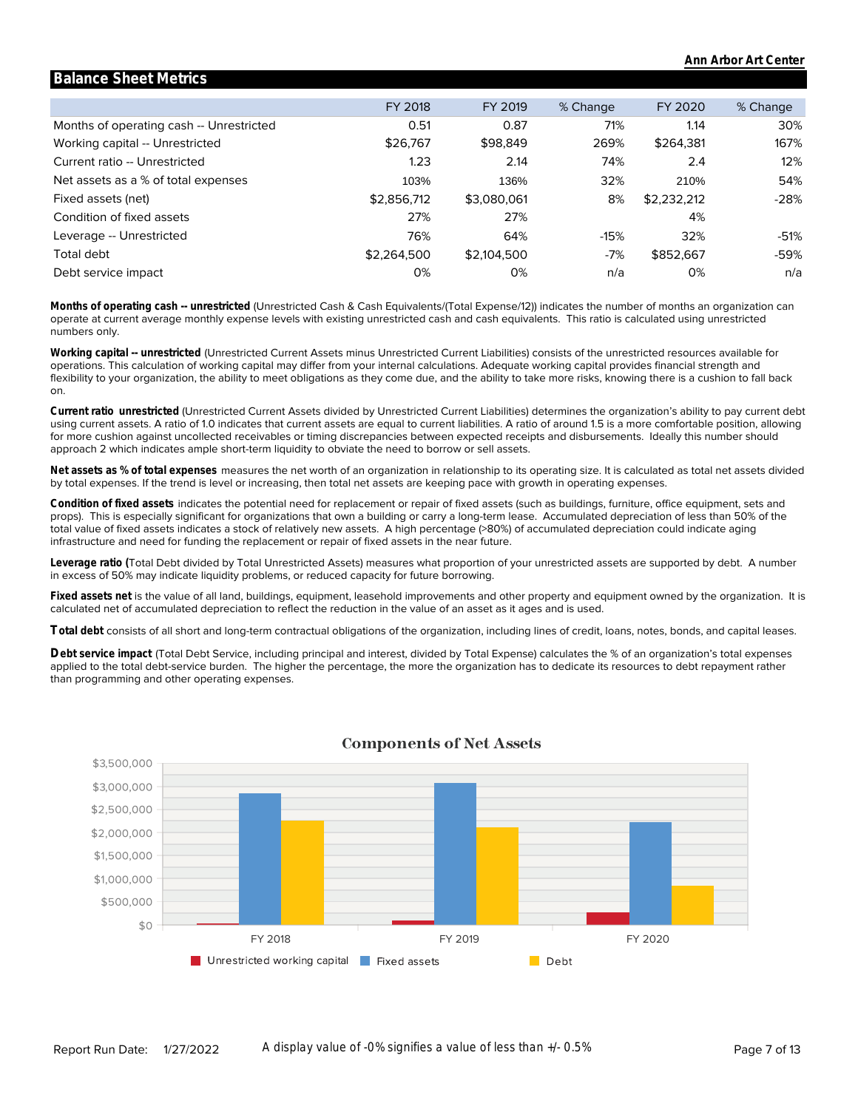|                                          | FY 2018     | FY 2019     | % Change | FY 2020     | % Change |
|------------------------------------------|-------------|-------------|----------|-------------|----------|
| Months of operating cash -- Unrestricted | 0.51        | 0.87        | 71%      | 1.14        | 30%      |
| Working capital -- Unrestricted          | \$26,767    | \$98,849    | 269%     | \$264.381   | 167%     |
| Current ratio -- Unrestricted            | 1.23        | 2.14        | 74%      | 2.4         | 12%      |
| Net assets as a % of total expenses      | 103%        | 136%        | 32%      | 210%        | 54%      |
| Fixed assets (net)                       | \$2,856,712 | \$3,080,061 | 8%       | \$2,232,212 | $-28%$   |
| Condition of fixed assets                | 27%         | 27%         |          | 4%          |          |
| Leverage -- Unrestricted                 | 76%         | 64%         | $-15%$   | 32%         | -51%     |
| Total debt                               | \$2,264,500 | \$2,104,500 | $-7%$    | \$852,667   | -59%     |
| Debt service impact                      | 0%          | 0%          | n/a      | 0%          | n/a      |

**Balance Sheet Metrics**

numbers only. operate at current average monthly expense levels with existing unrestricted cash and cash equivalents. This ratio is calculated using unrestricted **Months of operating cash -- unrestricted** (Unrestricted Cash & Cash Equivalents/(Total Expense/12)) indicates the number of months an organization can

on. flexibility to your organization, the ability to meet obligations as they come due, and the ability to take more risks, knowing there is a cushion to fall back operations. This calculation of working capital may differ from your internal calculations. Adequate working capital provides financial strength and **Working capital -- unrestricted** (Unrestricted Current Assets minus Unrestricted Current Liabilities) consists of the unrestricted resources available for

approach 2 which indicates ample short-term liquidity to obviate the need to borrow or sell assets. for more cushion against uncollected receivables or timing discrepancies between expected receipts and disbursements. Ideally this number should using current assets. A ratio of 1.0 indicates that current assets are equal to current liabilities. A ratio of around 1.5 is a more comfortable position, allowing **Current ratio unrestricted** (Unrestricted Current Assets divided by Unrestricted Current Liabilities) determines the organization's ability to pay current debt

by total expenses. If the trend is level or increasing, then total net assets are keeping pace with growth in operating expenses. **Net assets as % of total expenses** measures the net worth of an organization in relationship to its operating size. It is calculated as total net assets divided

infrastructure and need for funding the replacement or repair of fixed assets in the near future. total value of fixed assets indicates a stock of relatively new assets. A high percentage (>80%) of accumulated depreciation could indicate aging props). This is especially significant for organizations that own a building or carry a long-term lease. Accumulated depreciation of less than 50% of the **Condition of fixed assets** indicates the potential need for replacement or repair of fixed assets (such as buildings, furniture, office equipment, sets and

in excess of 50% may indicate liquidity problems, or reduced capacity for future borrowing. **Leverage ratio (**Total Debt divided by Total Unrestricted Assets) measures what proportion of your unrestricted assets are supported by debt. A number

calculated net of accumulated depreciation to reflect the reduction in the value of an asset as it ages and is used. **Fixed assets net** is the value of all land, buildings, equipment, leasehold improvements and other property and equipment owned by the organization. It is

**Total debt** consists of all short and long-term contractual obligations of the organization, including lines of credit, loans, notes, bonds, and capital leases.

than programming and other operating expenses. applied to the total debt-service burden. The higher the percentage, the more the organization has to dedicate its resources to debt repayment rather **Debt service impact** (Total Debt Service, including principal and interest, divided by Total Expense) calculates the % of an organization's total expenses



#### **Components of Net Assets**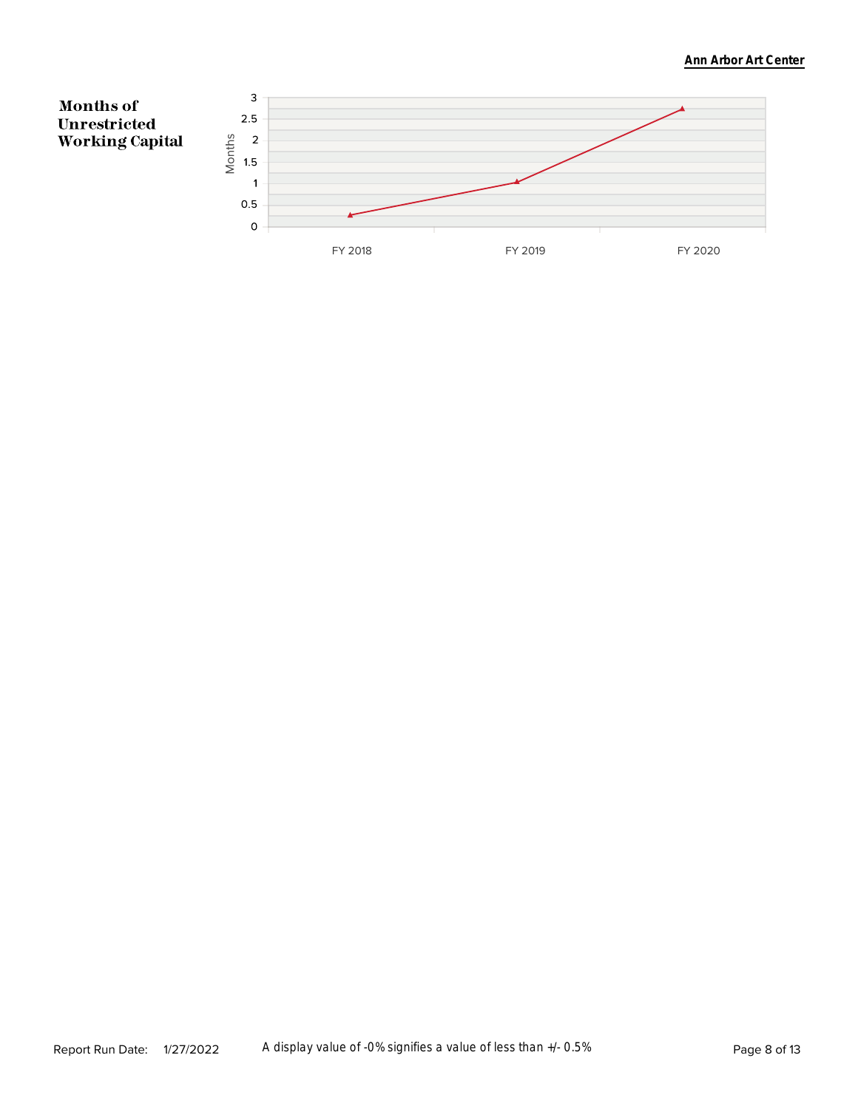#### **Ann Arbor Art Center**

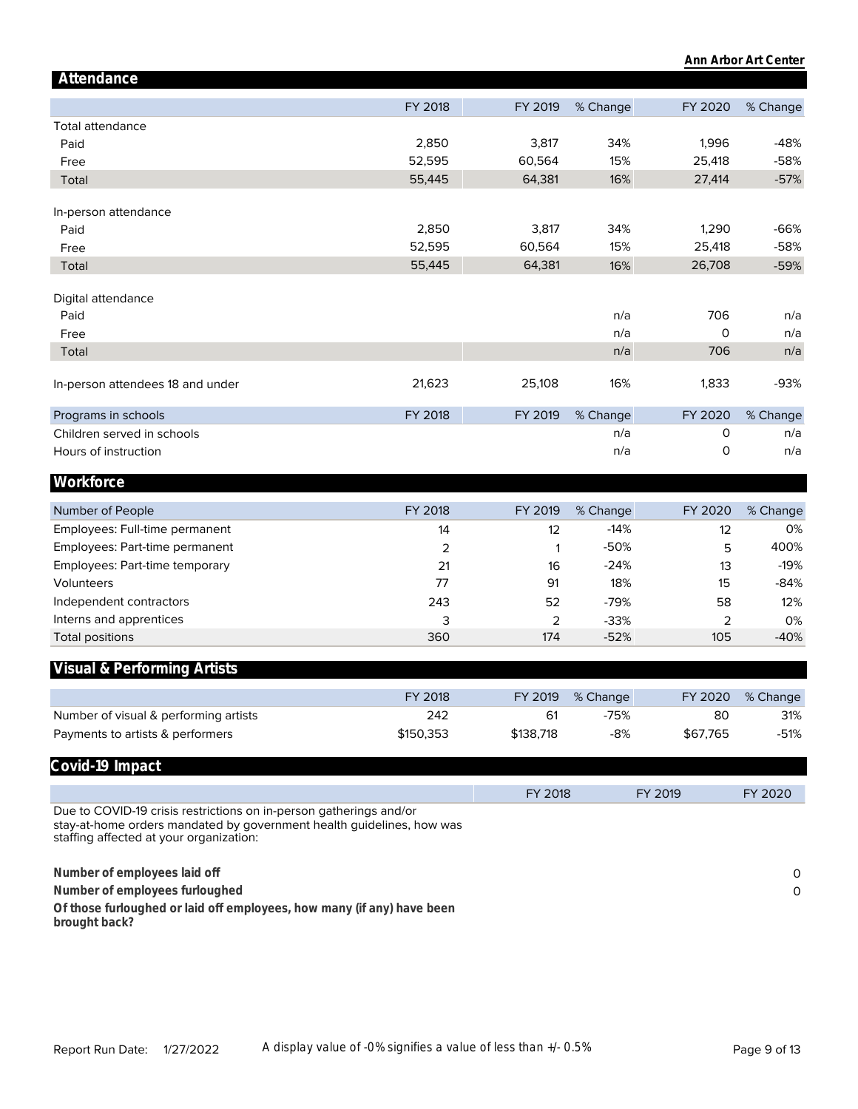|                                                                                                                                                                                        |                |           |          |          | Ann Arbor Art Center |
|----------------------------------------------------------------------------------------------------------------------------------------------------------------------------------------|----------------|-----------|----------|----------|----------------------|
| Attendance                                                                                                                                                                             |                |           |          |          |                      |
|                                                                                                                                                                                        | FY 2018        | FY 2019   | % Change | FY 2020  | % Change             |
| Total attendance                                                                                                                                                                       |                |           |          |          |                      |
| Paid                                                                                                                                                                                   | 2,850          | 3,817     | 34%      | 1,996    | $-48%$               |
| Free                                                                                                                                                                                   | 52,595         | 60,564    | 15%      | 25,418   | $-58%$               |
| Total                                                                                                                                                                                  | 55,445         | 64,381    | 16%      | 27,414   | $-57%$               |
| In-person attendance                                                                                                                                                                   |                |           |          |          |                      |
| Paid                                                                                                                                                                                   | 2,850          | 3,817     | 34%      | 1,290    | $-66%$               |
| Free                                                                                                                                                                                   | 52,595         | 60,564    | 15%      | 25,418   | $-58%$               |
| Total                                                                                                                                                                                  | 55,445         | 64,381    | 16%      | 26,708   | $-59%$               |
|                                                                                                                                                                                        |                |           |          |          |                      |
| Digital attendance                                                                                                                                                                     |                |           |          |          |                      |
| Paid                                                                                                                                                                                   |                |           | n/a      | 706      | n/a                  |
| Free                                                                                                                                                                                   |                |           | n/a      | $\Omega$ | n/a                  |
| Total                                                                                                                                                                                  |                |           | n/a      | 706      | n/a                  |
|                                                                                                                                                                                        |                |           |          |          |                      |
| In-person attendees 18 and under                                                                                                                                                       | 21,623         | 25,108    | 16%      | 1,833    | $-93%$               |
| Programs in schools                                                                                                                                                                    | FY 2018        | FY 2019   | % Change | FY 2020  | % Change             |
| Children served in schools                                                                                                                                                             |                |           | n/a      | 0        | n/a                  |
| Hours of instruction                                                                                                                                                                   |                |           | n/a      | 0        | n/a                  |
| Workforce                                                                                                                                                                              |                |           |          |          |                      |
|                                                                                                                                                                                        |                |           |          |          |                      |
| Number of People                                                                                                                                                                       | FY 2018        | FY 2019   | % Change | FY 2020  | % Change             |
| Employees: Full-time permanent                                                                                                                                                         | 14             | 12        | $-14%$   | 12       | 0%                   |
| Employees: Part-time permanent                                                                                                                                                         | $\overline{2}$ | 1         | $-50%$   | 5        | 400%                 |
| Employees: Part-time temporary                                                                                                                                                         | 21             | 16        | $-24%$   | 13       | $-19%$               |
| Volunteers                                                                                                                                                                             | 77             | 91        | 18%      | 15       | $-84%$               |
| Independent contractors                                                                                                                                                                | 243            | 52        | $-79%$   | 58       | 12%                  |
| Interns and apprentices                                                                                                                                                                | 3              | 2         | $-33%$   | 2        | 0%                   |
| <b>Total positions</b>                                                                                                                                                                 | 360            | 174       | $-52%$   | 105      | $-40%$               |
| Visual & Performing Artists                                                                                                                                                            |                |           |          |          |                      |
|                                                                                                                                                                                        |                |           |          |          |                      |
|                                                                                                                                                                                        | FY 2018        | FY 2019   | % Change | FY 2020  | % Change             |
| Number of visual & performing artists                                                                                                                                                  | 242            | 61        | $-75%$   | 80       | 31%                  |
| Payments to artists & performers                                                                                                                                                       | \$150,353      | \$138,718 | $-8%$    | \$67,765 | $-51%$               |
| Covid-19 Impact                                                                                                                                                                        |                |           |          |          |                      |
|                                                                                                                                                                                        |                | FY 2018   |          | FY 2019  | FY 2020              |
| Due to COVID-19 crisis restrictions on in-person gatherings and/or<br>stay-at-home orders mandated by government health guidelines, how was<br>staffing affected at your organization: |                |           |          |          |                      |
| Number of employees laid off                                                                                                                                                           |                |           |          |          | 0                    |
| Number of employees furloughed                                                                                                                                                         |                |           |          |          | $\circ$              |
| Of those furloughed or laid off employees, how many (if any) have been                                                                                                                 |                |           |          |          |                      |
| brought back?                                                                                                                                                                          |                |           |          |          |                      |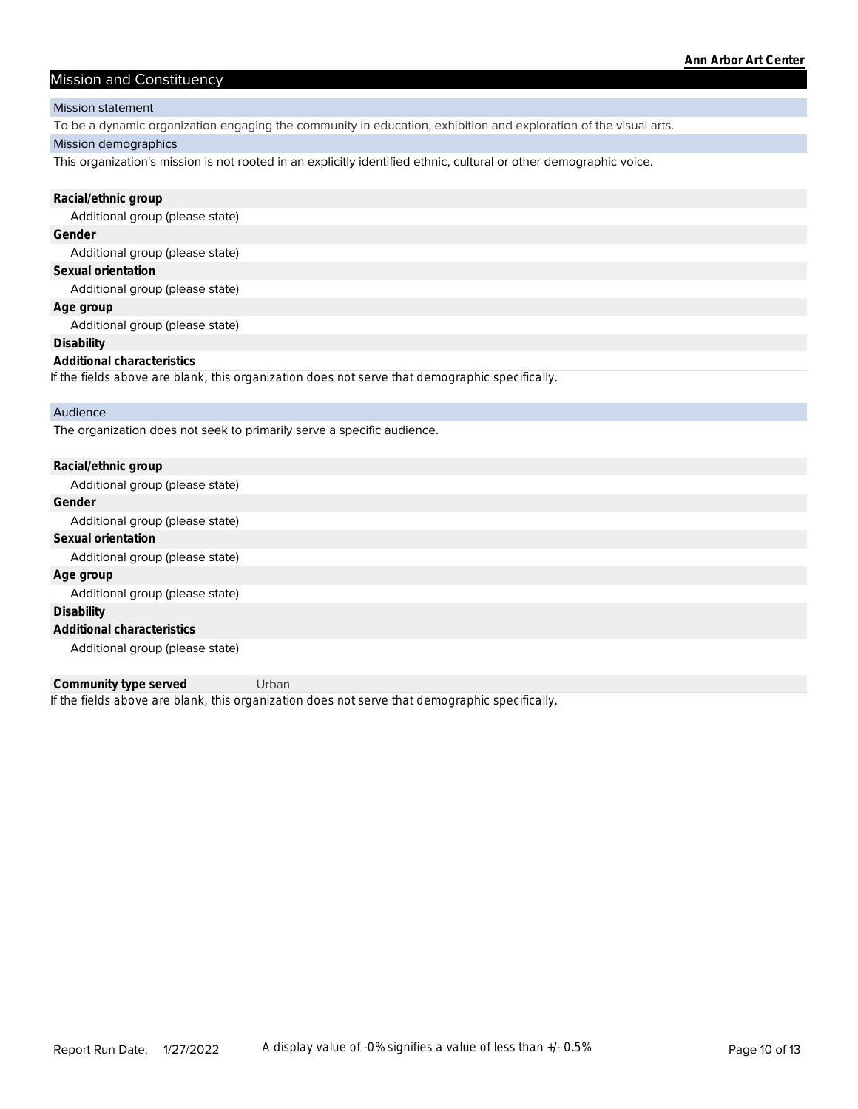#### Mission and Constituency

#### Mission statement

To be a dynamic organization engaging the community in education, exhibition and exploration of the visual arts.

#### Mission demographics

This organization's mission is not rooted in an explicitly identified ethnic, cultural or other demographic voice.

| Racial/ethnic group                                                                            |
|------------------------------------------------------------------------------------------------|
| Additional group (please state)                                                                |
| Gender                                                                                         |
| Additional group (please state)                                                                |
| Sexual orientation                                                                             |
| Additional group (please state)                                                                |
| Age group                                                                                      |
| Additional group (please state)                                                                |
| <b>Disability</b>                                                                              |
| Additional characteristics                                                                     |
| If the fields above are blank, this organization does not serve that demographic specifically. |
| Audience                                                                                       |
| The organization does not seek to primarily serve a specific audience.                         |
| Racial/ethnic group                                                                            |
| Additional group (please state)                                                                |
| Gender                                                                                         |
| Additional group (please state)                                                                |
| Sexual orientation                                                                             |

Additional group (please state)

**Age group**

Additional group (please state) **Disability**

**Additional characteristics**

Additional group (please state)

*If the fields above are blank, this organization does not serve that demographic specifically.* **Community type served** Urban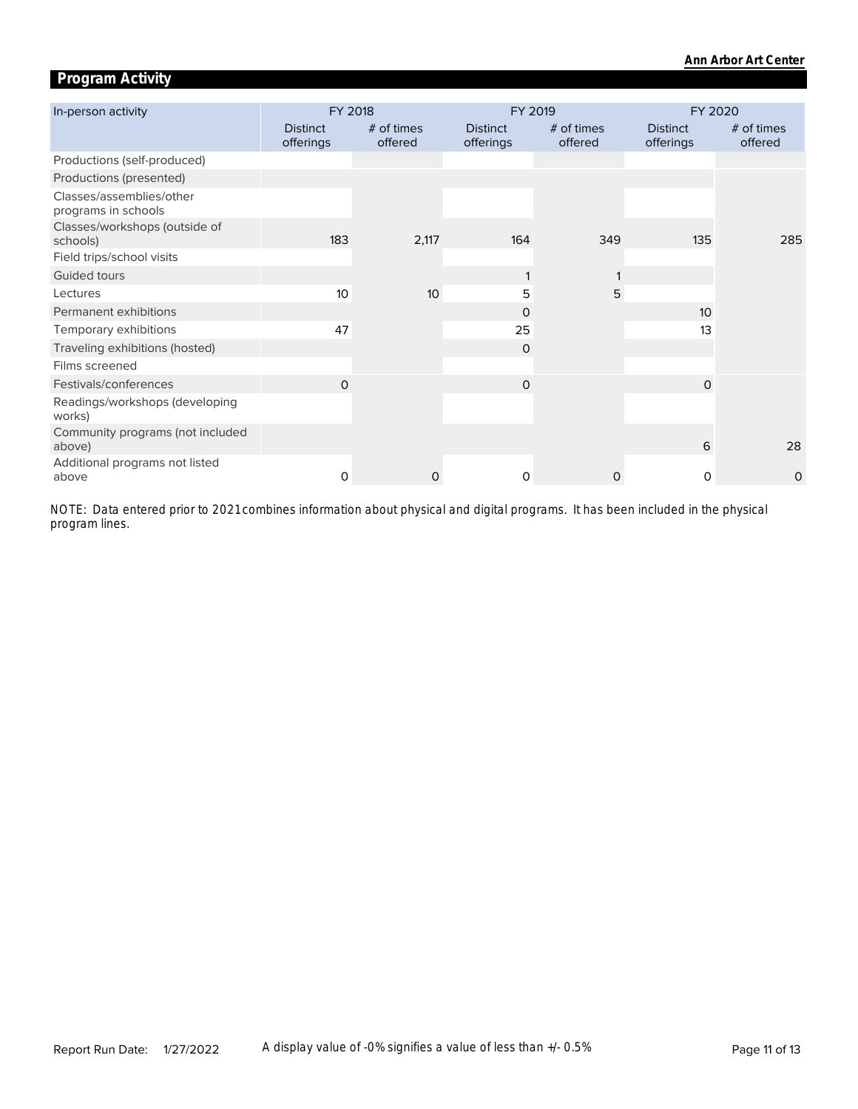# **Program Activity**

| In-person activity                              | FY 2018                      |                       | FY 2019                      |                       | FY 2020                      |                         |  |
|-------------------------------------------------|------------------------------|-----------------------|------------------------------|-----------------------|------------------------------|-------------------------|--|
|                                                 | <b>Distinct</b><br>offerings | # of times<br>offered | <b>Distinct</b><br>offerings | # of times<br>offered | <b>Distinct</b><br>offerings | $#$ of times<br>offered |  |
| Productions (self-produced)                     |                              |                       |                              |                       |                              |                         |  |
| Productions (presented)                         |                              |                       |                              |                       |                              |                         |  |
| Classes/assemblies/other<br>programs in schools |                              |                       |                              |                       |                              |                         |  |
| Classes/workshops (outside of<br>schools)       | 183                          | 2,117                 | 164                          | 349                   | 135                          | 285                     |  |
| Field trips/school visits                       |                              |                       |                              |                       |                              |                         |  |
| Guided tours                                    |                              |                       |                              |                       |                              |                         |  |
| Lectures                                        | 10                           | 10                    | 5                            | 5                     |                              |                         |  |
| Permanent exhibitions                           |                              |                       | $\Omega$                     |                       | 10                           |                         |  |
| Temporary exhibitions                           | 47                           |                       | 25                           |                       | 13                           |                         |  |
| Traveling exhibitions (hosted)                  |                              |                       | $\Omega$                     |                       |                              |                         |  |
| Films screened                                  |                              |                       |                              |                       |                              |                         |  |
| Festivals/conferences                           | $\Omega$                     |                       | $\mathbf 0$                  |                       | $\circ$                      |                         |  |
| Readings/workshops (developing<br>works)        |                              |                       |                              |                       |                              |                         |  |
| Community programs (not included<br>above)      |                              |                       |                              |                       | 6                            | 28                      |  |
| Additional programs not listed<br>above         | $\Omega$                     | 0                     | $\Omega$                     | 0                     | $\Omega$                     | $\circ$                 |  |

*program lines. NOTE: Data entered prior to 2021 combines information about physical and digital programs. It has been included in the physical*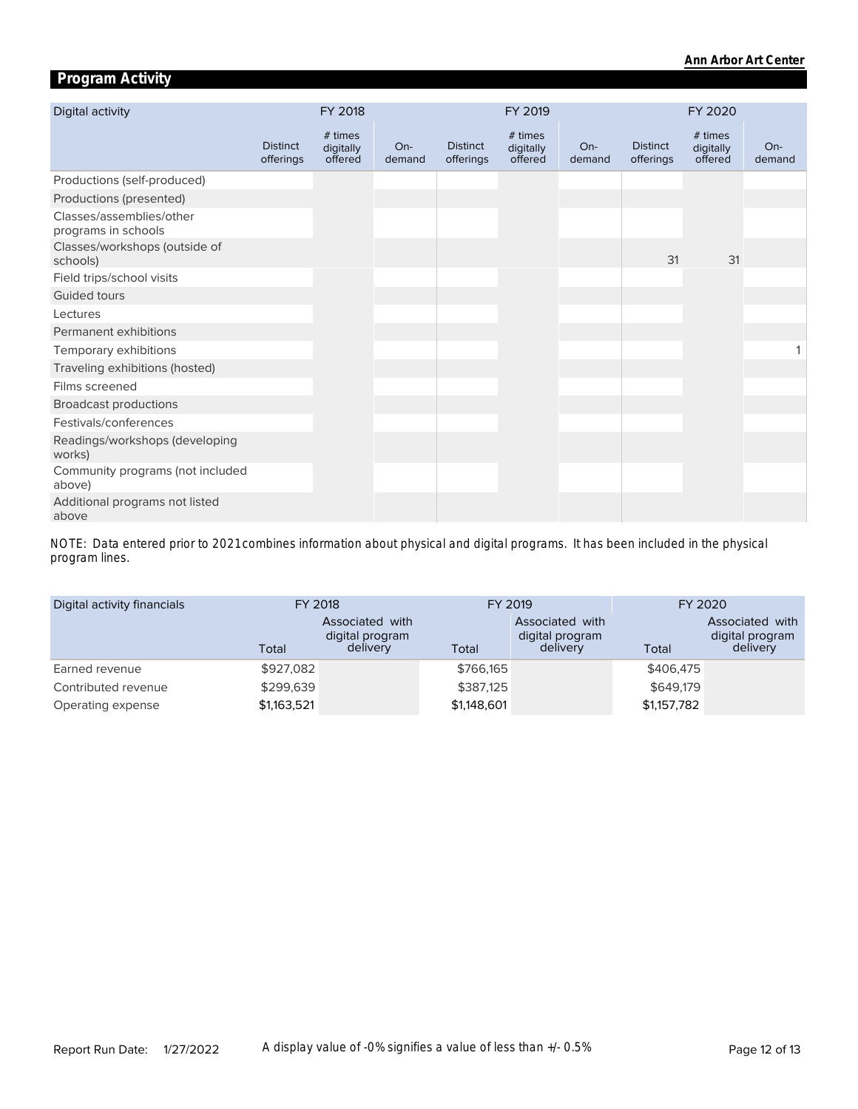# **Program Activity**

| Digital activity                                |                              | FY 2018                         |                 |                              | FY 2019                         |                 |                              | FY 2020                         |                 |
|-------------------------------------------------|------------------------------|---------------------------------|-----------------|------------------------------|---------------------------------|-----------------|------------------------------|---------------------------------|-----------------|
|                                                 | <b>Distinct</b><br>offerings | # times<br>digitally<br>offered | $On-$<br>demand | <b>Distinct</b><br>offerings | # times<br>digitally<br>offered | $On-$<br>demand | <b>Distinct</b><br>offerings | # times<br>digitally<br>offered | $On-$<br>demand |
| Productions (self-produced)                     |                              |                                 |                 |                              |                                 |                 |                              |                                 |                 |
| Productions (presented)                         |                              |                                 |                 |                              |                                 |                 |                              |                                 |                 |
| Classes/assemblies/other<br>programs in schools |                              |                                 |                 |                              |                                 |                 |                              |                                 |                 |
| Classes/workshops (outside of<br>schools)       |                              |                                 |                 |                              |                                 |                 | 31                           | 31                              |                 |
| Field trips/school visits                       |                              |                                 |                 |                              |                                 |                 |                              |                                 |                 |
| <b>Guided tours</b>                             |                              |                                 |                 |                              |                                 |                 |                              |                                 |                 |
| Lectures                                        |                              |                                 |                 |                              |                                 |                 |                              |                                 |                 |
| Permanent exhibitions                           |                              |                                 |                 |                              |                                 |                 |                              |                                 |                 |
| Temporary exhibitions                           |                              |                                 |                 |                              |                                 |                 |                              |                                 |                 |
| Traveling exhibitions (hosted)                  |                              |                                 |                 |                              |                                 |                 |                              |                                 |                 |
| Films screened                                  |                              |                                 |                 |                              |                                 |                 |                              |                                 |                 |
| <b>Broadcast productions</b>                    |                              |                                 |                 |                              |                                 |                 |                              |                                 |                 |
| Festivals/conferences                           |                              |                                 |                 |                              |                                 |                 |                              |                                 |                 |
| Readings/workshops (developing<br>works)        |                              |                                 |                 |                              |                                 |                 |                              |                                 |                 |
| Community programs (not included<br>above)      |                              |                                 |                 |                              |                                 |                 |                              |                                 |                 |
| Additional programs not listed<br>above         |                              |                                 |                 |                              |                                 |                 |                              |                                 |                 |

*program lines. NOTE: Data entered prior to 2021 combines information about physical and digital programs. It has been included in the physical* 

| Digital activity financials | FY 2018     |                                                | FY 2019     |                                                | FY 2020     |                                                |  |
|-----------------------------|-------------|------------------------------------------------|-------------|------------------------------------------------|-------------|------------------------------------------------|--|
|                             | Total       | Associated with<br>digital program<br>delivery | Total       | Associated with<br>digital program<br>delivery | Total       | Associated with<br>digital program<br>delivery |  |
| Earned revenue              | \$927,082   |                                                | \$766,165   |                                                | \$406,475   |                                                |  |
| Contributed revenue         | \$299.639   |                                                | \$387.125   |                                                | \$649.179   |                                                |  |
| Operating expense           | \$1,163,521 |                                                | \$1,148,601 |                                                | \$1,157,782 |                                                |  |